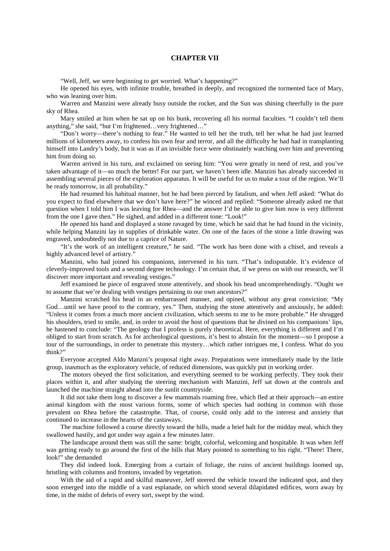## **CHAPTER VII**

"Well, Jeff, we were beginning to get worried. What's happening?"

He opened his eyes, with infinite trouble, breathed in deeply, and recognized the tormented face of Mary, who was leaning over him.

Warren and Manzini were already busy outside the rocket, and the Sun was shining cheerfully in the pure sky of Rhea.

Mary smiled at him when he sat up on his bunk, recovering all his normal faculties. "I couldn't tell them anything," she said, "but I'm frightened…very frightened…"

"Don't worry—there's nothing to fear." He wanted to tell her the truth, tell her what he had just learned millions of kilometers away, to confess his own fear and terror, and all the difficulty he had had in transplanting himself into Landry's body, but it was as if an invisible force were obstinately watching over him and preventing him from doing so.

Warren arrived in his turn, and exclaimed on seeing him: "You were greatly in need of rest, and you've taken advantage of it—so much the better! For our part, we haven't been idle. Manzini has already succeeded in assembling several pieces of the exploration apparatus. It will be useful for us to make a tour of the region. We'll be ready tomorrow, in all probability."

He had resumed his habitual manner, but he had been pierced by fatalism, and when Jeff asked: "What do you expect to find elsewhere that we don't have here?" he winced and replied: "Someone already asked me that question when I told him I was leaving for Rhea—and the answer I'd be able to give him now is very different from the one I gave then." He sighed, and added in a different tone: "Look!"

He opened his hand and displayed a stone ravaged by time, which he said that he had found in the vicinity, while helping Manzini lay in supplies of drinkable water. On one of the faces of the stone a little drawing was engraved, undoubtedly not due to a caprice of Nature.

"It's the work of an intelligent creature," he said. "The work has been done with a chisel, and reveals a highly advanced level of artistry."

Manzini, who had joined his companions, intervened in his turn. "That's indisputable. It's evidence of cleverly-improved tools and a second degree technology. I'm certain that, if we press on with our research, we'll discover more important and revealing vestiges."

Jeff examined he piece of engraved stone attentively, and shook his head uncomprehendingly. "Ought we to assume that we're dealing with vestiges pertaining to our own ancestors?"

Manzini scratched his head in an embarrassed manner, and opined, without any great conviction: "My God...until we have proof to the contrary, yes." Then, studying the stone attentively and anxiously, he added: "Unless it comes from a much more ancient civilization, which seems to me to be more probable." He shrugged his shoulders, tried to smile, and, in order to avoid the host of questions that he divined on his companions' lips, he hastened to conclude: "The geology that I profess is purely theoretical. Here, everything is different and I'm obliged to start from scratch. As for archeological questions, it's best to abstain for the moment—so I propose a tour of the surroundings, in order to penetrate this mystery…which rather intrigues me, I confess. What do you think?"

Everyone accepted Aldo Manzni's proposal right away. Preparations were immediately made by the little group, inasmuch as the exploratory vehicle, of reduced dimensions, was quickly put in working order.

The motors obeyed the first solicitation, and everything seemed to be working perfectly. They took their places within it, and after studying the steering mechanism with Manzini, Jeff sat down at the controls and launched the machine straight ahead into the sunlit countryside.

It did not take them long to discover a few mammals roaming free, which fled at their approach—an entire animal kingdom with the most various forms, some of which species had nothing in common with those prevalent on Rhea before the catastrophe. That, of course, could only add to the interest and anxiety that continued to increase in the hearts of the castaways.

The machine followed a course directly toward the hills, made a brief halt for the midday meal, which they swallowed hastily, and got under way again a few minutes later.

The landscape around them was still the same: bright, colorful, welcoming and hospitable. It was when Jeff was getting ready to go around the first of the hills that Mary pointed to something to his right. "There! There, look!" she demanded

They did indeed look. Emerging from a curtain of foliage, the ruins of ancient buildings loomed up, bristling with columns and frontons, invaded by vegetation.

With the aid of a rapid and skilful maneuver, Jeff steered the vehicle toward the indicated spot, and they soon emerged into the middle of a vast esplanade, on which stood several dilapidated edifices, worn away by time, in the midst of debris of every sort, swept by the wind.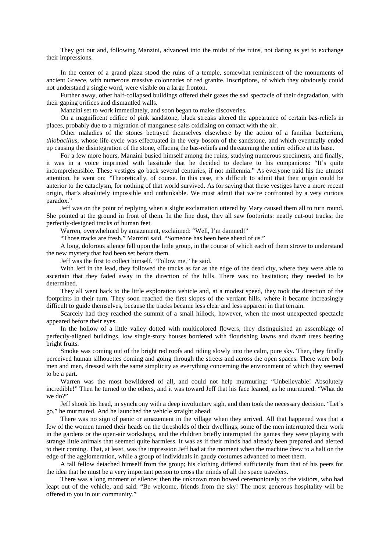They got out and, following Manzini, advanced into the midst of the ruins, not daring as yet to exchange their impressions.

In the center of a grand plaza stood the ruins of a temple, somewhat reminiscent of the monuments of ancient Greece, with numerous massive colonnades of red granite. Inscriptions, of which they obviously could not understand a single word, were visible on a large fronton.

Further away, other half-collapsed buildings offered their gazes the sad spectacle of their degradation, with their gaping orifices and dismantled walls.

Manzini set to work immediately, and soon began to make discoveries.

On a magnificent edifice of pink sandstone, black streaks altered the appearance of certain bas-reliefs in places, probably due to a migration of manganese salts oxidizing on contact with the air.

Other maladies of the stones betrayed themselves elsewhere by the action of a familiar bacterium, *thiobacillus*, whose life-cycle was effectuated in the very bosom of the sandstone, and which eventually ended up causing the disintegration of the stone, effacing the bas-reliefs and threatening the entire edifice at its base.

For a few more hours, Manzini busied himself among the ruins, studying numerous specimens, and finally, it was in a voice imprinted with lassitude that he decided to declare to his companions: "It's quite incomprehensible. These vestiges go back several centuries, if not millennia." As everyone paid his the utmost attention, he went on: "Theoretically, of course. In this case, it's difficult to admit that their origin could be anterior to the cataclysm, for nothing of that world survived. As for saying that these vestiges have a more recent origin, that's absolutely impossible and unthinkable. We must admit that we're confronted by a very curious paradox."

Jeff was on the point of replying when a slight exclamation uttered by Mary caused them all to turn round. She pointed at the ground in front of them. In the fine dust, they all saw footprints: neatly cut-out tracks; the perfectly-designed tracks of human feet.

Warren, overwhelmed by amazement, exclaimed: "Well, I'm damned!"

"Those tracks are fresh," Manzini said. "Someone has been here ahead of us."

A long, dolorous silence fell upon the little group, in the course of which each of them strove to understand the new mystery that had been set before them.

Jeff was the first to collect himself. "Follow me," he said.

With Jeff in the lead, they followed the tracks as far as the edge of the dead city, where they were able to ascertain that they faded away in the direction of the hills. There was no hesitation; they needed to be determined.

They all went back to the little exploration vehicle and, at a modest speed, they took the direction of the footprints in their turn. They soon reached the first slopes of the verdant hills, where it became increasingly difficult to guide themselves, because the tracks became less clear and less apparent in that terrain.

Scarcely had they reached the summit of a small hillock, however, when the most unexpected spectacle appeared before their eyes.

In the hollow of a little valley dotted with multicolored flowers, they distinguished an assemblage of perfectly-aligned buildings, low single-story houses bordered with flourishing lawns and dwarf trees bearing bright fruits.

Smoke was coming out of the bright red roofs and riding slowly into the calm, pure sky. Then, they finally perceived human silhouettes coming and going through the streets and across the open spaces. There were both men and men, dressed with the same simplicity as everything concerning the environment of which they seemed to be a part.

Warren was the most bewildered of all, and could not help murmuring: "Unbelievable! Absolutely incredible!" Then he turned to the others, and it was toward Jeff that his face leaned, as he murmured: "What do we do?"

Jeff shook his head, in synchrony with a deep involuntary sigh, and then took the necessary decision. "Let's go," he murmured. And he launched the vehicle straight ahead.

There was no sign of panic or amazement in the village when they arrived. All that happened was that a few of the women turned their heads on the thresholds of their dwellings, some of the men interrupted their work in the gardens or the open-air workshops, and the children briefly interrupted the games they were playing with strange little animals that seemed quite harmless. It was as if their minds had already been prepared and alerted to their coming. That, at least, was the impression Jeff had at the moment when the machine drew to a halt on the edge of the agglomeration, while a group of individuals in gaudy costumes advanced to meet them.

A tall fellow detached himself from the group; his clothing differed sufficiently from that of his peers for the idea that he must be a very important person to cross the minds of all the space travelers.

There was a long moment of silence; then the unknown man bowed ceremoniously to the visitors, who had leapt out of the vehicle, and said: "Be welcome, friends from the sky! The most generous hospitality will be offered to you in our community."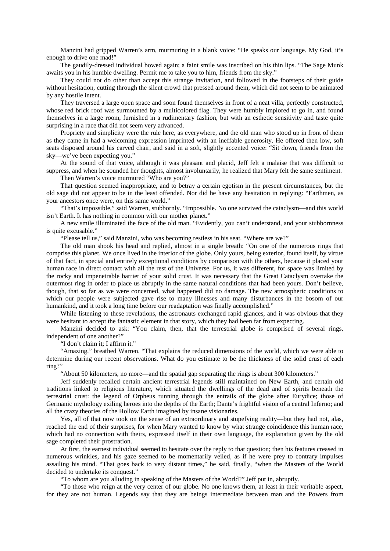Manzini had gripped Warren's arm, murmuring in a blank voice: "He speaks our language. My God, it's enough to drive one mad!"

The gaudily-dressed individual bowed again; a faint smile was inscribed on his thin lips. "The Sage Munk awaits you in his humble dwelling. Permit me to take you to him, friends from the sky."

They could not do other than accept this strange invitation, and followed in the footsteps of their guide without hesitation, cutting through the silent crowd that pressed around them, which did not seem to be animated by any hostile intent.

They traversed a large open space and soon found themselves in front of a neat villa, perfectly constructed, whose red brick roof was surmounted by a multicolored flag. They were humbly implored to go in, and found themselves in a large room, furnished in a rudimentary fashion, but with an esthetic sensitivity and taste quite surprising in a race that did not seem very advanced.

Propriety and simplicity were the rule here, as everywhere, and the old man who stood up in front of them as they came in had a welcoming expression imprinted with an ineffable generosity. He offered then low, soft seats disposed around his carved chair, and said in a soft, slightly accented voice: "Sit down, friends from the sky—we've been expecting you."

At the sound of that voice, although it was pleasant and placid, Jeff felt a malaise that was difficult to suppress, and when he sounded her thoughts, almost involuntarily, he realized that Mary felt the same sentiment. Then Warren's voice murmured "Who are you?"

That question seemed inappropriate, and to betray a certain egotism in the present circumstances, but the old sage did not appear to be in the least offended. Nor did he have any hesitation in replying: "Earthmen, as your ancestors once were, on this same world."

"That's impossible," said Warren, stubbornly. "Impossible. No one survived the cataclysm—and this world isn't Earth. It has nothing in common with our mother planet."

A new smile illuminated the face of the old man. "Evidently, you can't understand, and your stubbornness is quite excusable."

"Please tell us," said Manzini, who was becoming restless in his seat. "Where are we?"

The old man shook his head and replied, almost in a single breath: "On one of the numerous rings that comprise this planet. We once lived in the interior of the globe. Only yours, being exterior, found itself, by virtue of that fact, in special and entirely exceptional conditions by comparison with the others, because it placed your human race in direct contact with all the rest of the Universe. For us, it was different, for space was limited by the rocky and impenetrable barrier of your solid crust. It was necessary that the Great Cataclysm overtake the outermost ring in order to place us abruptly in the same natural conditions that had been yours. Don't believe, though, that so far as we were concerned, what happened did no damage. The new atmospheric conditions to which our people were subjected gave rise to many illnesses and many disturbances in the bosom of our humankind, and it took a long time before our readaptation was finally accomplished."

While listening to these revelations, the astronauts exchanged rapid glances, and it was obvious that they were hesitant to accept the fantastic element in that story, which they had been far from expecting.

Manzini decided to ask: "You claim, then, that the terrestrial globe is comprised of several rings, independent of one another?"

"I don't claim it; I affirm it."

"Amazing," breathed Warren. "That explains the reduced dimensions of the world, which we were able to determine during our recent observations. What do you estimate to be the thickness of the solid crust of each ring?"

"About 50 kilometers, no more—and the spatial gap separating the rings is about 300 kilometers."

Jeff suddenly recalled certain ancient terrestrial legends still maintained on New Earth, and certain old traditions linked to religious literature, which situated the dwellings of the dead and of spirits beneath the terrestrial crust: the legend of Orpheus running through the entrails of the globe after Eurydice; those of Germanic mythology exiling heroes into the depths of the Earth; Dante's frightful vision of a central Inferno; and all the crazy theories of the Hollow Earth imagined by insane visionaries.

Yes, all of that now took on the sense of an extraordinary and stupefying reality—but they had not, alas, reached the end of their surprises, for when Mary wanted to know by what strange coincidence this human race, which had no connection with theirs, expressed itself in their own language, the explanation given by the old sage completed their prostration.

At first, the earnest individual seemed to hesitate over the reply to that question; then his features creased in numerous wrinkles, and his gaze seemed to be momentarily veiled, as if he were prey to contrary impulses assailing his mind. "That goes back to very distant times," he said, finally, "when the Masters of the World decided to undertake its conquest."

"To whom are you alluding in speaking of the Masters of the World?" Jeff put in, abruptly.

"To those who reign at the very center of our globe. No one knows them, at least in their veritable aspect, for they are not human. Legends say that they are beings intermediate between man and the Powers from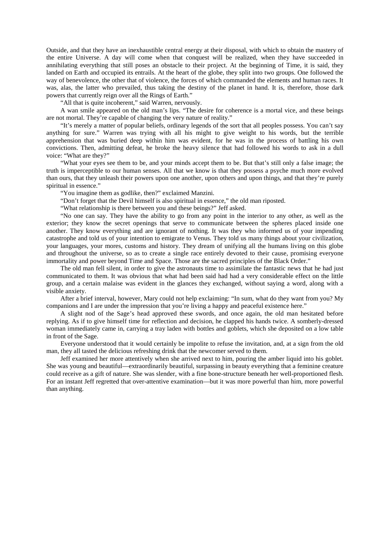Outside, and that they have an inexhaustible central energy at their disposal, with which to obtain the mastery of the entire Universe. A day will come when that conquest will be realized, when they have succeeded in annihilating everything that still poses an obstacle to their project. At the beginning of Time, it is said, they landed on Earth and occupied its entrails. At the heart of the globe, they split into two groups. One followed the way of benevolence, the other that of violence, the forces of which commanded the elements and human races. It was, alas, the latter who prevailed, thus taking the destiny of the planet in hand. It is, therefore, those dark powers that currently reign over all the Rings of Earth."

"All that is quite incoherent," said Warren, nervously.

A wan smile appeared on the old man's lips. "The desire for coherence is a mortal vice, and these beings are not mortal. They're capable of changing the very nature of reality."

"It's merely a matter of popular beliefs, ordinary legends of the sort that all peoples possess. You can't say anything for sure." Warren was trying with all his might to give weight to his words, but the terrible apprehension that was buried deep within him was evident, for he was in the process of battling his own convictions. Then, admitting defeat, he broke the heavy silence that had followed his words to ask in a dull voice: "What are they?"

"What your eyes see them to be, and your minds accept them to be. But that's still only a false image; the truth is imperceptible to our human senses. All that we know is that they possess a psyche much more evolved than ours, that they unleash their powers upon one another, upon others and upon things, and that they're purely spiritual in essence."

"You imagine them as godlike, then?" exclaimed Manzini.

"Don't forget that the Devil himself is also spiritual in essence," the old man riposted.

"What relationship is there between you and these beings?" Jeff asked.

"No one can say. They have the ability to go from any point in the interior to any other, as well as the exterior; they know the secret openings that serve to communicate between the spheres placed inside one another. They know everything and are ignorant of nothing. It was they who informed us of your impending catastrophe and told us of your intention to emigrate to Venus. They told us many things about your civilization, your languages, your mores, customs and history. They dream of unifying all the humans living on this globe and throughout the universe, so as to create a single race entirely devoted to their cause, promising everyone immortality and power beyond Time and Space. Those are the sacred principles of the Black Order."

The old man fell silent, in order to give the astronauts time to assimilate the fantastic news that he had just communicated to them. It was obvious that what had been said had had a very considerable effect on the little group, and a certain malaise was evident in the glances they exchanged, without saying a word, along with a visible anxiety.

After a brief interval, however, Mary could not help exclaiming: "In sum, what do they want from you? My companions and I are under the impression that you're living a happy and peaceful existence here."

A slight nod of the Sage's head approved these swords, and once again, the old man hesitated before replying. As if to give himself time for reflection and decision, he clapped his hands twice. A somberly-dressed woman immediately came in, carrying a tray laden with bottles and goblets, which she deposited on a low table in front of the Sage.

Everyone understood that it would certainly be impolite to refuse the invitation, and, at a sign from the old man, they all tasted the delicious refreshing drink that the newcomer served to them.

Jeff examined her more attentively when she arrived next to him, pouring the amber liquid into his goblet. She was young and beautiful—extraordinarily beautiful, surpassing in beauty everything that a feminine creature could receive as a gift of nature. She was slender, with a fine bone-structure beneath her well-proportioned flesh. For an instant Jeff regretted that over-attentive examination—but it was more powerful than him, more powerful than anything.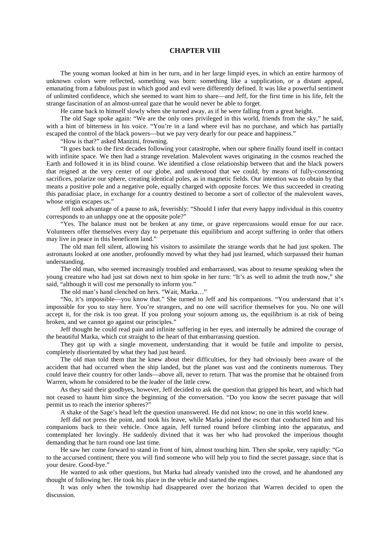## **CHAPTER VIII**

The young woman looked at him in her turn, and in her large limpid eyes, in which an entire harmony of unknown colors were reflected, something was born: something like a supplication, or a distant appeal, emanating from a fabulous past in which good and evil were differently defined. It was like a powerful sentiment of unlimited confidence, which she seemed to want him to share—and Jeff, for the first time in his life, felt the strange fascination of an almost-unreal gaze that he would never be able to forget.

He came back to himself slowly when she turned away, as if he were falling from a great height.

The old Sage spoke again: "We are the only ones privileged in this world, friends from the sky," he said, with a hint of bitterness in his voice. "You're in a land where evil has no purchase, and which has partially escaped the control of the black powers—but we pay very dearly for our peace and happiness."

"How is that?" asked Manzini, frowning.

"It goes back to the first decades following your catastrophe, when our sphere finally found itself in contact with infinite space. We then had a strange revelation. Malevolent waves originating in the cosmos reached the Earth and followed it in its blind course. We identified a close relationship between that and the black powers that reigned at the very center of our globe, and understood that we could, by means of fully-consenting sacrifices, polarize our sphere, creating identical poles, as in magnetic fields. Our intention was to obtain by that means a positive pole and a negative pole, equally charged with opposite forces. We thus succeeded in creating this paradisiac place, in exchange for a country destined to become a sort of collector of the malevolent waves, whose origin escapes us.'

Jeff took advantage of a pause to ask, feverishly: "Should I infer that every happy individual in this country corresponds to an unhappy one at the opposite pole?"

"Yes. The balance must not be broken at any time, or grave repercussions would ensue for our race. Volunteers offer themselves every day to perpetuate this equilibrium and accept suffering in order that others may live in peace in this beneficent land."

The old man fell silent, allowing his visitors to assimilate the strange words that he had just spoken. The astronauts looked at one another, profoundly moved by what they had just learned, which surpassed their human understanding.

The old man, who seemed increasingly troubled and embarrassed, was about to resume speaking when the young creature who had just sat down next to him spoke in her turn: "It's as well to admit the truth now," she said, "although it will cost me personally to inform you."

The old man's hand clenched on hers. "Wait, Marka…"

"No, it's impossible—you know that." She turned to Jeff and his companions. "You understand that it's impossible for you to stay here. You're strangers, and no one will sacrifice themselves for you. No one will accept it, for the risk is too great. If you prolong your sojourn among us, the equilibrium is at risk of being broken, and we cannot go against our principles."

Jeff thought he could read pain and infinite suffering in her eyes, and internally he admired the courage of the beautiful Marka, which cut straight to the heart of that embarrassing question.

They got up with a single movement, understanding that it would be futile and impolite to persist, completely disorientated by what they had just heard.

The old man told them that he knew about their difficulties, for they had obviously been aware of the accident that had occurred when the ship landed, but the planet was vast and the continents numerous. They could leave their country for other lands—above all, never to return. That was the promise that he obtained from Warren, whom he considered to be the leader of the little crew.

As they said their goodbyes, however, Jeff decided to ask the question that gripped his heart, and which had not ceased to haunt him since the beginning of the conversation. "Do you know the secret passage that will permit us to reach the interior spheres?"

A shake of the Sage's head left the question unanswered. He did not know; no one in this world knew.

Jeff did not press the point, and took his leave, while Marka joined the escort that conducted him and his companions back to their vehicle. Once again, Jeff turned round before climbing into the apparatus, and contemplated her lovingly. He suddenly divined that it was her who had provoked the imperious thought demanding that he turn round one last time.

He saw her come forward to stand in front of him, almost touching him. Then she spoke, very rapidly: "Go to the accursed continent; there you will find someone who will help you to find the secret passage, since that is your desire. Good-bye."

He wanted to ask other questions, but Marka had already vanished into the crowd, and he abandoned any thought of following her. He took his place in the vehicle and started the engines.

It was only when the township had disappeared over the horizon that Warren decided to open the discussion.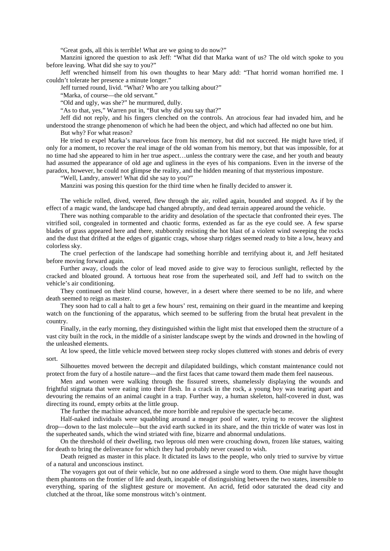"Great gods, all this is terrible! What are we going to do now?"

Manzini ignored the question to ask Jeff: "What did that Marka want of us? The old witch spoke to you before leaving. What did she say to you?"

Jeff wrenched himself from his own thoughts to hear Mary add: "That horrid woman horrified me. I couldn't tolerate her presence a minute longer."

Jeff turned round, livid. "What? Who are you talking about?"

"Marka, of course—the old servant."

"Old and ugly, was she?" he murmured, dully.

"As to that, yes," Warren put in, "But why did you say that?"

Jeff did not reply, and his fingers clenched on the controls. An atrocious fear had invaded him, and he understood the strange phenomenon of which he had been the object, and which had affected no one but him. But why? For what reason?

He tried to expel Marka's marvelous face from his memory, but did not succeed. He might have tried, if only for a moment, to recover the real image of the old woman from his memory, but that was impossible, for at no time had she appeared to him in her true aspect…unless the contrary were the case, and her youth and beauty had assumed the appearance of old age and ugliness in the eyes of his companions. Even in the inverse of the paradox, however, he could not glimpse the reality, and the hidden meaning of that mysterious imposture.

"Well, Landry, answer! What did she say to you?"

Manzini was posing this question for the third time when he finally decided to answer it.

The vehicle rolled, dived, veered, flew through the air, rolled again, bounded and stopped. As if by the effect of a magic wand, the landscape had changed abruptly, and dead terrain appeared around the vehicle.

There was nothing comparable to the aridity and desolation of the spectacle that confronted their eyes. The vitrified soil, congealed in tormented and chaotic forms, extended as far as the eye could see. A few sparse blades of grass appeared here and there, stubbornly resisting the hot blast of a violent wind sweeping the rocks and the dust that drifted at the edges of gigantic crags, whose sharp ridges seemed ready to bite a low, heavy and colorless sky.

The cruel perfection of the landscape had something horrible and terrifying about it, and Jeff hesitated before moving forward again.

Further away, clouds the color of lead moved aside to give way to ferocious sunlight, reflected by the cracked and bloated ground. A tortuous heat rose from the superheated soil, and Jeff had to switch on the vehicle's air conditioning.

They continued on their blind course, however, in a desert where there seemed to be no life, and where death seemed to reign as master.

They soon had to call a halt to get a few hours' rest, remaining on their guard in the meantime and keeping watch on the functioning of the apparatus, which seemed to be suffering from the brutal heat prevalent in the country.

Finally, in the early morning, they distinguished within the light mist that enveloped them the structure of a vast city built in the rock, in the middle of a sinister landscape swept by the winds and drowned in the howling of the unleashed elements.

At low speed, the little vehicle moved between steep rocky slopes cluttered with stones and debris of every sort.

Silhouettes moved between the decrepit and dilapidated buildings, which constant maintenance could not protect from the fury of a hostile nature—and the first faces that came toward them made them feel nauseous.

Men and women were walking through the fissured streets, shamelessly displaying the wounds and frightful stigmata that were eating into their flesh. In a crack in the rock, a young boy was tearing apart and devouring the remains of an animal caught in a trap. Further way, a human skeleton, half-covered in dust, was directing its round, empty orbits at the little group.

The further the machine advanced, the more horrible and repulsive the spectacle became.

Half-naked individuals were squabbling around a meager pool of water, trying to recover the slightest drop—down to the last molecule—but the avid earth sucked in its share, and the thin trickle of water was lost in the superheated sands, which the wind striated with fine, bizarre and abnormal undulations.

On the threshold of their dwelling, two leprous old men were crouching down, frozen like statues, waiting for death to bring the deliverance for which they had probably never ceased to wish.

Death reigned as master in this place. It dictated its laws to the people, who only tried to survive by virtue of a natural and unconscious instinct.

The voyagers got out of their vehicle, but no one addressed a single word to them. One might have thought them phantoms on the frontier of life and death, incapable of distinguishing between the two states, insensible to everything, sparing of the slightest gesture or movement. An acrid, fetid odor saturated the dead city and clutched at the throat, like some monstrous witch's ointment.